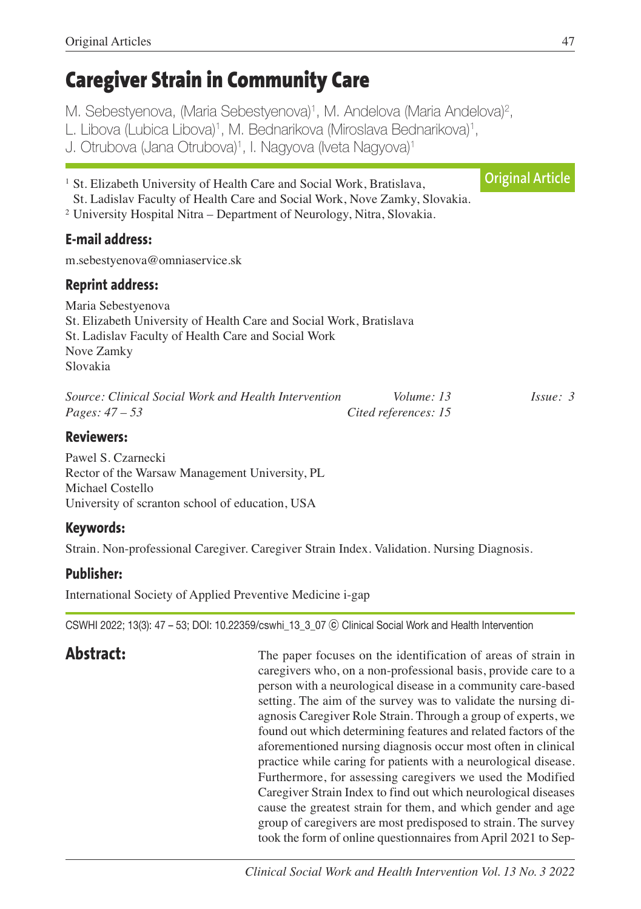# **Caregiver Strain in Community Care**

M. Sebestyenova, (Maria Sebestyenova)<sup>1</sup>, M. Andelova (Maria Andelova)<sup>2</sup>,

L. Libova (Lubica Libova)<sup>1</sup>, M. Bednarikova (Miroslava Bednarikova)<sup>1</sup>,

J. Otrubova (Jana Otrubova)<sup>1</sup>, I. Nagyova (Iveta Nagyova)<sup>1</sup>

<sup>1</sup> St. Elizabeth University of Health Care and Social Work, Bratislava, St. Ladislav Faculty of Health Care and Social Work, Nove Zamky, Slovakia. <sup>2</sup> University Hospital Nitra – Department of Neurology, Nitra, Slovakia. **E-mail address:** m.sebestyenova@omniaservice.sk **Reprint address:** Maria Sebestyenova St. Elizabeth University of Health Care and Social Work, Bratislava St. Ladislav Faculty of Health Care and Social Work Nove Zamky Slovakia *Source: Clinical Social Work and Health Intervention Volume: 13 Issue: 3 Pages: 47 – 53 Cited references: 15* **Reviewers:** Pawel S. Czarnecki Rector of the Warsaw Management University, PL **Original Article**

Michael Costello University of scranton school of education, USA

# **Keywords:**

Strain. Non-professional Caregiver. Caregiver Strain Index. Validation. Nursing Diagnosis.

# **Publisher:**

International Society of Applied Preventive Medicine i-gap

CSWHI 2022; 13(3): 47 – 53; DOI: 10.22359/cswhi\_13\_3\_07 ⓒ Clinical Social Work and Health Intervention

**Abstract:** The paper focuses on the identification of areas of strain in caregivers who, on a non-professional basis, provide care to a person with a neurological disease in a community care-based setting. The aim of the survey was to validate the nursing diagnosis Caregiver Role Strain. Through a group of experts, we found out which determining features and related factors of the aforementioned nursing diagnosis occur most often in clinical practice while caring for patients with a neurological disease. Furthermore, for assessing caregivers we used the Modified Caregiver Strain Index to find out which neurological diseases cause the greatest strain for them, and which gender and age group of caregivers are most predisposed to strain. The survey took the form of online questionnaires fromApril 2021 to Sep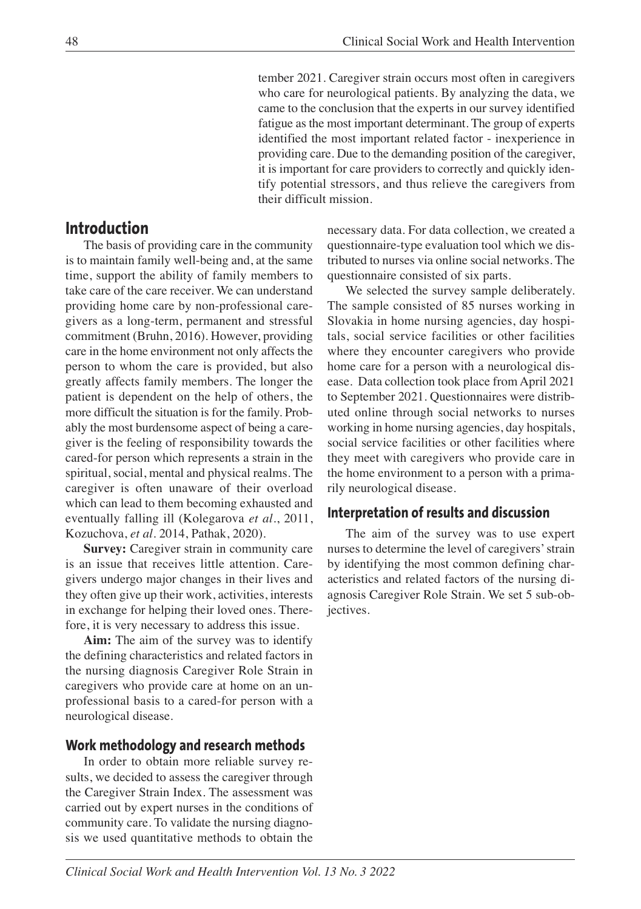tember 2021. Caregiver strain occurs most often in caregivers who care for neurological patients. By analyzing the data, we came to the conclusion that the experts in our survey identified fatigue as the most important determinant. The group of experts identified the most important related factor - inexperience in providing care. Due to the demanding position of the caregiver, it is important for care providers to correctly and quickly identify potential stressors, and thus relieve the caregivers from their difficult mission.

**Introduction**

The basis of providing care in the community is to maintain family well-being and, at the same time, support the ability of family members to take care of the care receiver. We can understand providing home care by non-professional caregivers as a long-term, permanent and stressful commitment (Bruhn, 2016). However, providing care in the home environment not only affects the person to whom the care is provided, but also greatly affects family members. The longer the patient is dependent on the help of others, the more difficult the situation is for the family. Probably the most burdensome aspect of being a caregiver is the feeling of responsibility towards the cared-for person which represents a strain in the spiritual, social, mental and physical realms. The caregiver is often unaware of their overload which can lead to them becoming exhausted and eventually falling ill (Kolegarova *et al.*, 2011, Kozuchova, *et al*. 2014, Pathak, 2020).

**Survey:** Caregiver strain in community care is an issue that receives little attention. Caregivers undergo major changes in their lives and they often give up their work, activities, interests in exchange for helping their loved ones. Therefore, it is very necessary to address this issue.

**Aim:** The aim of the survey was to identify the defining characteristics and related factors in the nursing diagnosis Caregiver Role Strain in caregivers who provide care at home on an unprofessional basis to a cared-for person with a neurological disease.

#### **Work methodology and research methods**

In order to obtain more reliable survey results, we decided to assess the caregiver through the Caregiver Strain Index. The assessment was carried out by expert nurses in the conditions of community care. To validate the nursing diagnosis we used quantitative methods to obtain the

necessary data. For data collection, we created a questionnaire-type evaluation tool which we distributed to nurses via online social networks. The questionnaire consisted of six parts.

We selected the survey sample deliberately. The sample consisted of 85 nurses working in Slovakia in home nursing agencies, day hospitals, social service facilities or other facilities where they encounter caregivers who provide home care for a person with a neurological disease. Data collection took place fromApril 2021 to September 2021. Questionnaires were distributed online through social networks to nurses working in home nursing agencies, day hospitals, social service facilities or other facilities where they meet with caregivers who provide care in the home environment to a person with a primarily neurological disease.

#### **Interpretation of results and discussion**

The aim of the survey was to use expert nurses to determine the level of caregivers'strain by identifying the most common defining characteristics and related factors of the nursing diagnosis Caregiver Role Strain. We set 5 sub-objectives.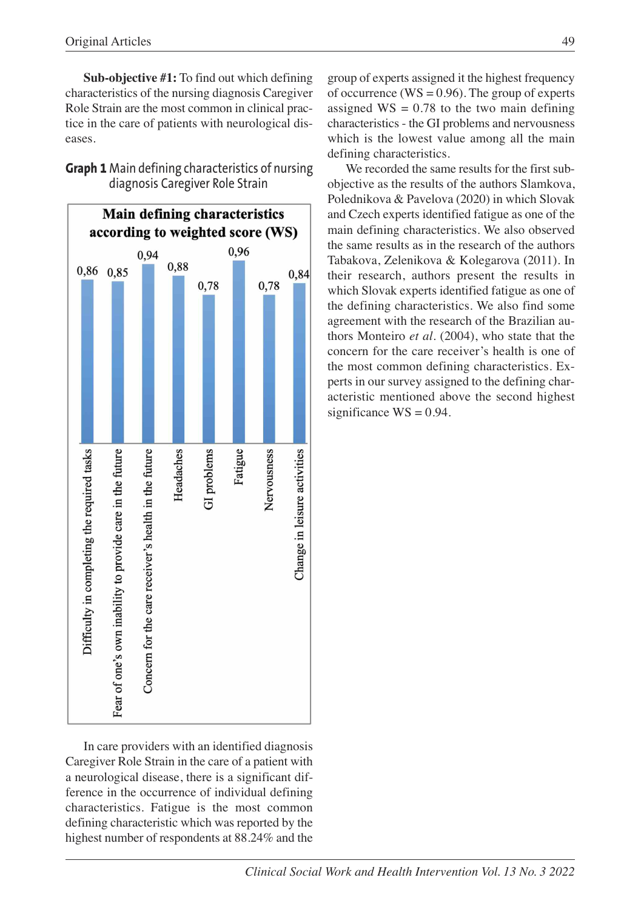**Sub-objective #1:** To find out which defining characteristics of the nursing diagnosis Caregiver Role Strain are the most common in clinical practice in the care of patients with neurological diseases.

| Main defining characteristics<br>according to weighted score (WS) |                                                          |                                                      |           |             |         |             |                              |
|-------------------------------------------------------------------|----------------------------------------------------------|------------------------------------------------------|-----------|-------------|---------|-------------|------------------------------|
|                                                                   |                                                          |                                                      |           |             |         |             |                              |
| 0,86                                                              | 0,85                                                     |                                                      | 0,88      |             |         |             | 0,84                         |
|                                                                   |                                                          |                                                      |           | 0,78        |         | 0,78        |                              |
|                                                                   |                                                          |                                                      |           |             |         |             |                              |
|                                                                   |                                                          |                                                      |           |             |         |             |                              |
|                                                                   |                                                          |                                                      |           |             |         |             |                              |
|                                                                   |                                                          |                                                      |           |             |         |             |                              |
|                                                                   |                                                          |                                                      |           |             |         |             |                              |
|                                                                   |                                                          |                                                      |           |             |         |             |                              |
|                                                                   |                                                          |                                                      |           |             |         |             |                              |
|                                                                   |                                                          |                                                      |           |             |         |             |                              |
|                                                                   |                                                          |                                                      | Headaches | GI problems | Fatigue | Nervousness | Change in leisure activities |
|                                                                   |                                                          |                                                      |           |             |         |             |                              |
|                                                                   |                                                          |                                                      |           |             |         |             |                              |
|                                                                   |                                                          |                                                      |           |             |         |             |                              |
|                                                                   |                                                          |                                                      |           |             |         |             |                              |
|                                                                   |                                                          |                                                      |           |             |         |             |                              |
|                                                                   |                                                          |                                                      |           |             |         |             |                              |
|                                                                   |                                                          |                                                      |           |             |         |             |                              |
|                                                                   |                                                          |                                                      |           |             |         |             |                              |
| Difficulty in completing the required tasks                       |                                                          | Concern for the care receiver's health in the future |           |             |         |             |                              |
|                                                                   |                                                          |                                                      |           |             |         |             |                              |
|                                                                   |                                                          |                                                      |           |             |         |             |                              |
|                                                                   | ear of one's own inability to provide care in the future |                                                      |           |             |         |             |                              |
|                                                                   |                                                          |                                                      |           |             |         |             |                              |

**Graph 1** Main defining characteristics of nursing diagnosis Caregiver Role Strain

In care providers with an identified diagnosis Caregiver Role Strain in the care of a patient with a neurological disease, there is a significant difference in the occurrence of individual defining characteristics. Fatigue is the most common defining characteristic which was reported by the highest number of respondents at 88.24% and the

group of experts assigned it the highest frequency of occurrence ( $WS = 0.96$ ). The group of experts assigned  $WS = 0.78$  to the two main defining characteristics - the GI problems and nervousness which is the lowest value among all the main defining characteristics.

We recorded the same results for the first subobjective as the results of the authors Slamkova, Polednikova & Pavelova (2020) in which Slovak and Czech experts identified fatigue as one of the main defining characteristics. We also observed the same results as in the research of the authors Tabakova, Zelenikova & Kolegarova (2011). In their research, authors present the results in which Slovak experts identified fatigue as one of the defining characteristics. We also find some agreement with the research of the Brazilian authors Monteiro *et al.* (2004), who state that the concern for the care receiver's health is one of the most common defining characteristics. Experts in our survey assigned to the defining characteristic mentioned above the second highest significance  $WS = 0.94$ .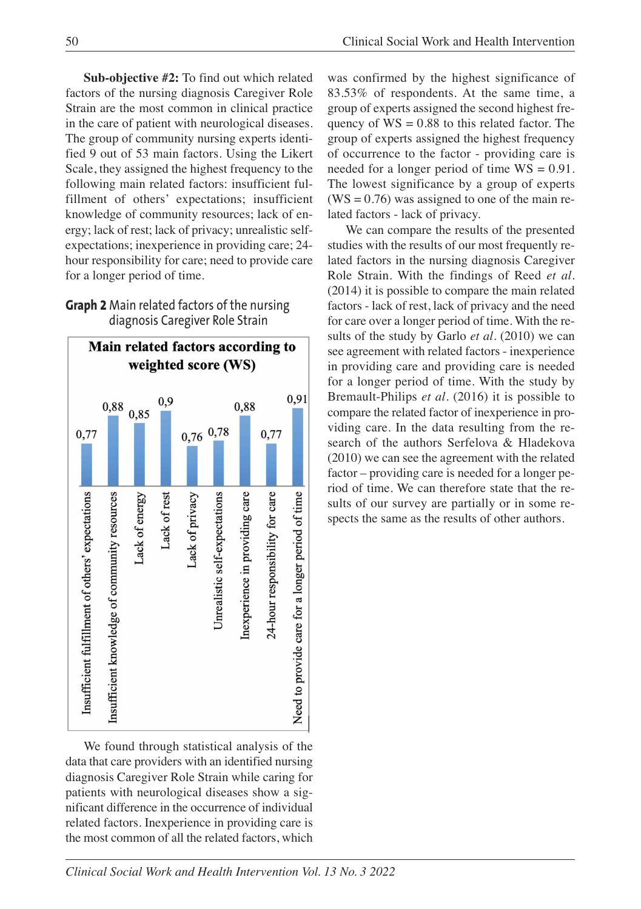**Sub-objective #2:** To find out which related factors of the nursing diagnosis Caregiver Role Strain are the most common in clinical practice in the care of patient with neurological diseases. The group of community nursing experts identified 9 out of 53 main factors. Using the Likert Scale, they assigned the highest frequency to the following main related factors: insufficient fulfillment of others' expectations; insufficient knowledge of community resources; lack of energy; lack of rest; lack of privacy; unrealistic selfexpectations; inexperience in providing care; 24 hour responsibility for care; need to provide care for a longer period of time.

### **Graph 2** Main related factors of the nursing diagnosis Caregiver Role Strain



We found through statistical analysis of the data that care providers with an identified nursing diagnosis Caregiver Role Strain while caring for patients with neurological diseases show a significant difference in the occurrence of individual related factors. Inexperience in providing care is the most common of all the related factors, which

was confirmed by the highest significance of 83.53% of respondents. At the same time, a group of experts assigned the second highest frequency of  $WS = 0.88$  to this related factor. The group of experts assigned the highest frequency of occurrence to the factor - providing care is needed for a longer period of time WS = 0.91. The lowest significance by a group of experts  $(WS = 0.76)$  was assigned to one of the main related factors - lack of privacy.

We can compare the results of the presented studies with the results of our most frequently related factors in the nursing diagnosis Caregiver Role Strain. With the findings of Reed *et al.* (2014) it is possible to compare the main related factors - lack of rest, lack of privacy and the need for care over a longer period of time. With the results of the study by Garlo *et al.* (2010) we can see agreement with related factors - inexperience in providing care and providing care is needed for a longer period of time. With the study by Bremault-Philips *et al.* (2016) it is possible to compare the related factor of inexperience in providing care. In the data resulting from the research of the authors Serfelova & Hladekova (2010) we can see the agreement with the related factor – providing care is needed for a longer period of time. We can therefore state that the results of our survey are partially or in some respects the same as the results of other authors.

*Clinical Social Work and Health Intervention Vol. 13 No. 3 2022*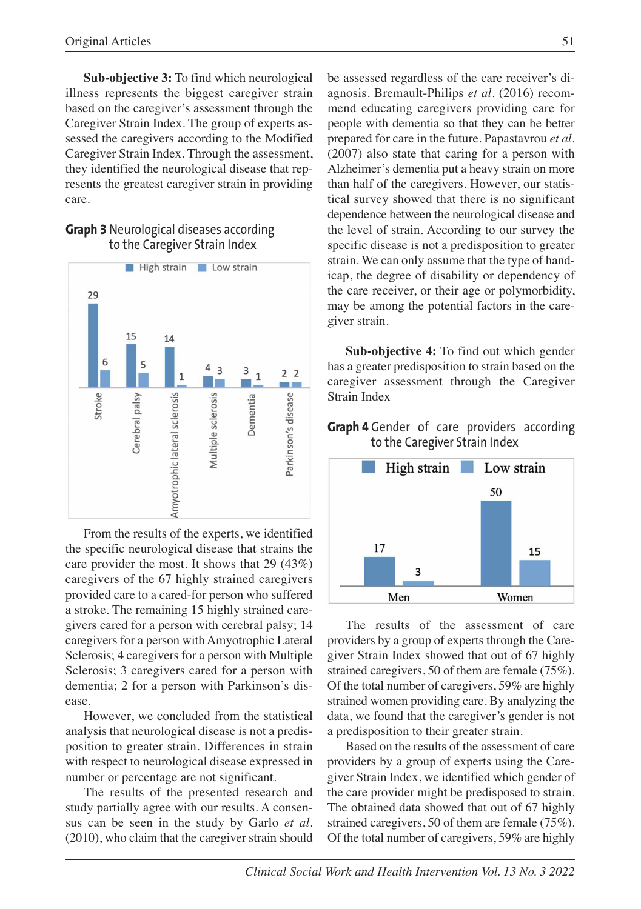**Sub-objective 3:** To find which neurological illness represents the biggest caregiver strain based on the caregiver's assessment through the Caregiver Strain Index. The group of experts assessed the caregivers according to the Modified Caregiver Strain Index. Through the assessment, they identified the neurological disease that represents the greatest caregiver strain in providing care.

#### **Graph 3** Neurological diseases according to the Caregiver Strain Index



From the results of the experts, we identified the specific neurological disease that strains the care provider the most. It shows that 29 (43%) caregivers of the 67 highly strained caregivers provided care to a cared-for person who suffered a stroke. The remaining 15 highly strained caregivers cared for a person with cerebral palsy; 14 caregivers for a person with Amyotrophic Lateral Sclerosis; 4 caregivers for a person with Multiple Sclerosis; 3 caregivers cared for a person with dementia; 2 for a person with Parkinson's disease.

However, we concluded from the statistical analysis that neurological disease is not a predisposition to greater strain. Differences in strain with respect to neurological disease expressed in number or percentage are not significant.

The results of the presented research and study partially agree with our results. A consensus can be seen in the study by Garlo *et al.* (2010), who claim that the caregiver strain should

be assessed regardless of the care receiver's diagnosis. Bremault-Philips *et al.* (2016) recommend educating caregivers providing care for people with dementia so that they can be better prepared for care in the future. Papastavrou *et al.* (2007) also state that caring for a person with Alzheimer's dementia put a heavy strain on more than half of the caregivers. However, our statistical survey showed that there is no significant dependence between the neurological disease and the level of strain. According to our survey the specific disease is not a predisposition to greater strain. We can only assume that the type of handicap, the degree of disability or dependency of the care receiver, or their age or polymorbidity, may be among the potential factors in the caregiver strain.

**Sub-objective 4:** To find out which gender has a greater predisposition to strain based on the caregiver assessment through the Caregiver Strain Index

#### **Graph 4** Gender of care providers according to the Caregiver Strain Index



The results of the assessment of care providers by a group of experts through the Caregiver Strain Index showed that out of 67 highly strained caregivers, 50 of them are female (75%). Of the total number of caregivers, 59% are highly strained women providing care. By analyzing the data, we found that the caregiver's gender is not a predisposition to their greater strain.

Based on the results of the assessment of care providers by a group of experts using the Caregiver Strain Index, we identified which gender of the care provider might be predisposed to strain. The obtained data showed that out of 67 highly strained caregivers, 50 of them are female (75%). Of the total number of caregivers, 59% are highly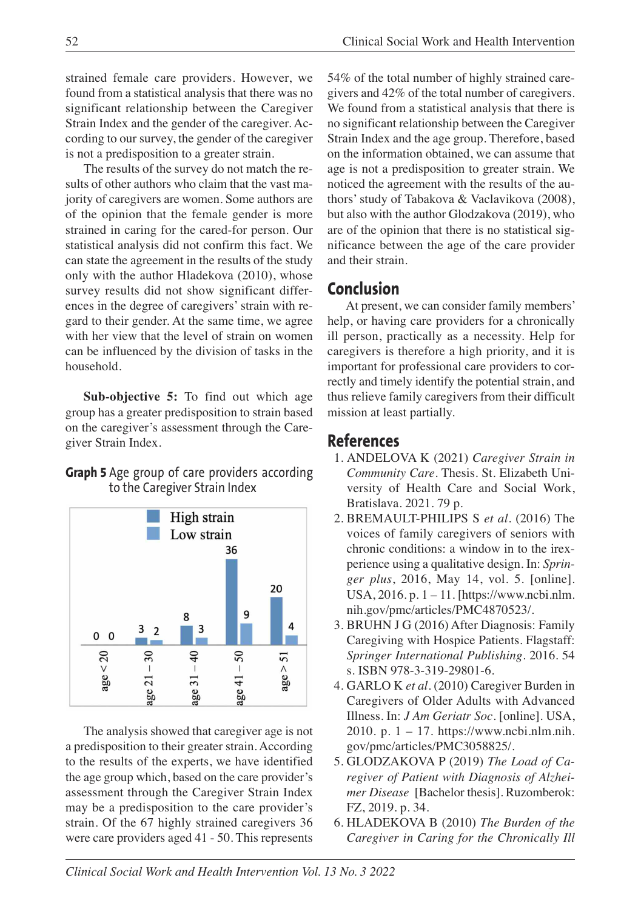strained female care providers. However, we found from a statistical analysis that there was no significant relationship between the Caregiver Strain Index and the gender of the caregiver. According to our survey, the gender of the caregiver is not a predisposition to a greater strain.

The results of the survey do not match the results of other authors who claim that the vast majority of caregivers are women. Some authors are of the opinion that the female gender is more strained in caring for the cared-for person. Our statistical analysis did not confirm this fact. We can state the agreement in the results of the study only with the author Hladekova (2010), whose survey results did not show significant differences in the degree of caregivers'strain with regard to their gender. At the same time, we agree with her view that the level of strain on women can be influenced by the division of tasks in the household.

**Sub-objective 5:** To find out which age group has a greater predisposition to strain based on the caregiver's assessment through the Caregiver Strain Index.

### **Graph 5** Age group of care providers according to the Caregiver Strain Index



The analysis showed that caregiver age is not a predisposition to their greater strain. According to the results of the experts, we have identified the age group which, based on the care provider's assessment through the Caregiver Strain Index may be a predisposition to the care provider's strain. Of the 67 highly strained caregivers 36 were care providers aged 41 - 50. This represents

54% of the total number of highly strained caregivers and 42% of the total number of caregivers. We found from a statistical analysis that there is no significant relationship between the Caregiver Strain Index and the age group. Therefore, based on the information obtained, we can assume that age is not a predisposition to greater strain. We noticed the agreement with the results of the authors'study of Tabakova & Vaclavikova (2008), but also with the author Glodzakova (2019), who are of the opinion that there is no statistical significance between the age of the care provider and their strain.

# **Conclusion**

At present, we can consider family members' help, or having care providers for a chronically ill person, practically as a necessity. Help for caregivers is therefore a high priority, and it is important for professional care providers to correctly and timely identify the potential strain, and thus relieve family caregivers from their difficult mission at least partially.

# **References**

- 1. ANDELOVA K (2021) *Caregiver Strain in Community Care.* Thesis. St. Elizabeth University of Health Care and Social Work, Bratislava. 2021. 79 p.
- 2. BREMAULT-PHILIPS S *et al.* (2016) The voices of family caregivers of seniors with chronic conditions: a window in to the irexperience using a qualitative design*.* In: *Springer plus*, 2016, May 14, vol. 5. [online]. USA, 2016. p. 1 – 11. [https://www.ncbi.nlm. nih.gov/pmc/articles/PMC4870523/.
- 3. BRUHN J G (2016) After Diagnosis: Family Caregiving with Hospice Patients. Flagstaff: *Springer International Publishing*. 2016. 54 s. ISBN 978-3-319-29801-6.
- 4. GARLO K *et al.* (2010) Caregiver Burden in Caregivers of Older Adults with Advanced Illness. In: *J Am Geriatr Soc.* [online]. USA, 2010. p. 1 – 17. https://www.ncbi.nlm.nih. gov/pmc/articles/PMC3058825/.
- 5. GLODZAKOVA P (2019) *The Load of Caregiver of Patient with Diagnosis of Alzheimer Disease* [Bachelor thesis]. Ruzomberok: FZ, 2019. p. 34.
- 6. HLADEKOVA B (2010) *The Burden of the Caregiver in Caring for the Chronically Ill*